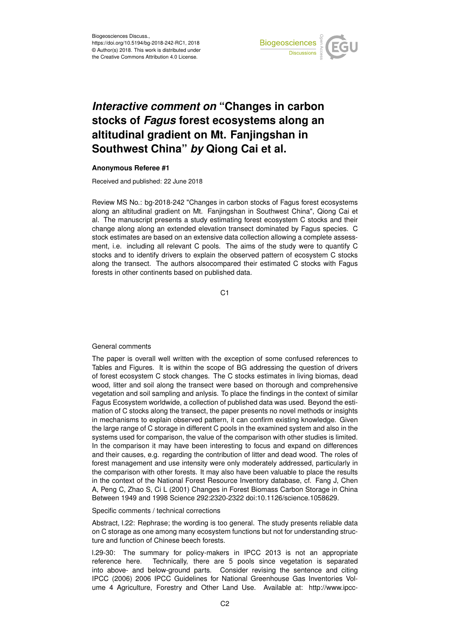

## *Interactive comment on* **"Changes in carbon stocks of** *Fagus* **forest ecosystems along an altitudinal gradient on Mt. Fanjingshan in Southwest China"** *by* **Qiong Cai et al.**

## **Anonymous Referee #1**

Received and published: 22 June 2018

Review MS No.: bg-2018-242 "Changes in carbon stocks of Fagus forest ecosystems along an altitudinal gradient on Mt. Fanjingshan in Southwest China", Qiong Cai et al. The manuscript presents a study estimating forest ecosystem C stocks and their change along along an extended elevation transect dominated by Fagus species. C stock estimates are based on an extensive data collection allowing a complete assessment, i.e. including all relevant C pools. The aims of the study were to quantify C stocks and to identify drivers to explain the observed pattern of ecosystem C stocks along the transect. The authors alsocompared their estimated C stocks with Fagus forests in other continents based on published data.

C<sub>1</sub>

## General comments

The paper is overall well written with the exception of some confused references to Tables and Figures. It is within the scope of BG addressing the question of drivers of forest ecosystem C stock changes. The C stocks estimates in living biomas, dead wood, litter and soil along the transect were based on thorough and comprehensive vegetation and soil sampling and anlysis. To place the findings in the context of similar Fagus Ecosystem worldwide, a collection of published data was used. Beyond the estimation of C stocks along the transect, the paper presents no novel methods or insights in mechanisms to explain observed pattern, it can confirm existing knowledge. Given the large range of C storage in different C pools in the examined system and also in the systems used for comparison, the value of the comparison with other studies is limited. In the comparison it may have been interesting to focus and expand on differences and their causes, e.g. regarding the contribution of litter and dead wood. The roles of forest management and use intensity were only moderately addressed, particularly in the comparison with other forests. It may also have been valuable to place the results in the context of the National Forest Resource Inventory database, cf. Fang J, Chen A, Peng C, Zhao S, Ci L (2001) Changes in Forest Biomass Carbon Storage in China Between 1949 and 1998 Science 292:2320-2322 doi:10.1126/science.1058629.

Specific comments / technical corrections

Abstract, l.22: Rephrase; the wording is too general. The study presents reliable data on C storage as one among many ecosystem functions but not for understanding structure and function of Chinese beech forests.

l.29-30: The summary for policy-makers in IPCC 2013 is not an appropriate reference here. Technically, there are 5 pools since vegetation is separated into above- and below-ground parts. Consider revising the sentence and citing IPCC (2006) 2006 IPCC Guidelines for National Greenhouse Gas Inventories Volume 4 Agriculture, Forestry and Other Land Use. Available at: http://www.ipcc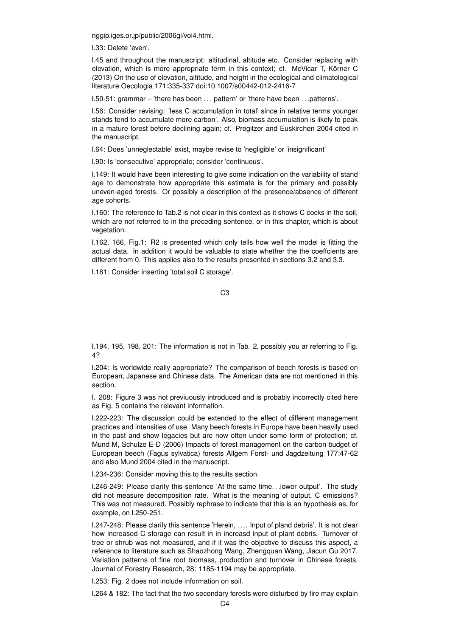nggip.iges.or.jp/public/2006gl/vol4.html.

l.33: Delete 'even'.

l.45 and throughout the manuscript: altitudinal, altitude etc. Consider replacing with elevation, which is more appropriate term in this context; cf. McVicar T, Körner C (2013) On the use of elevation, altitude, and height in the ecological and climatological literature Oecologia 171:335-337 doi:10.1007/s00442-012-2416-7

l.50-51: grammar – 'there has been . . . pattern' or 'there have been . . .patterns'.

l.56: Consider revising: 'less C accumulation in total' since in relative terms younger stands tend to accumulate more carbon'. Also, biomass accumulation is likely to peak in a mature forest before declining again; cf. Pregitzer and Euskirchen 2004 cited in the manuscript.

l.64: Does 'unneglectable' exist, maybe revise to 'negligible' or 'insignificant'

l.90: Is 'consecutive' appropriate; consider 'continuous'.

l.149: It would have been interesting to give some indication on the variability of stand age to demonstrate how appropriate this estimate is for the primary and possibly uneven-aged forests. Or possibly a description of the presence/absence of different age cohorts.

l.160: The reference to Tab.2 is not clear in this context as it shows C cocks in the soil, which are not referred to in the preceding sentence, or in this chapter, which is about vegetation.

l.162, 166, Fig.1: R2 is presented which only tells how well the model is fitting the actual data. In addition it would be valuable to state whether the the coeffcients are different from 0. This applies also to the results presented in sections 3.2 and 3.3.

l.181: Consider inserting 'total soil C storage'.

C3

l.194, 195, 198, 201: The information is not in Tab. 2, possibly you ar referring to Fig. 4?

l.204: Is worldwide really appropriate? The comparison of beech forests is based on European, Japanese and Chinese data. The American data are not mentioned in this section.

l. 208: Figure 3 was not previuously introduced and is probably incorrectly cited here as Fig. 5 contains the relevant information.

l.222-223: The discussion could be extended to the effect of different management practices and intensities of use. Many beech forests in Europe have been heavily used in the past and show legacies but are now often under some form of protection; cf. Mund M, Schulze E-D (2006) Impacts of forest management on the carbon budget of European beech (Fagus sylvatica) forests Allgem Forst- und Jagdzeitung 177:47-62 and also Mund 2004 cited in the manuscript.

l.234-236: Consider moving this to the results section.

l.246-249: Please clarify this sentence 'At the same time. . .lower output'. The study did not measure decomposition rate. What is the meaning of output, C emissions? This was not measured. Possibly rephrase to indicate that this is an hypothesis as, for example, on l.250-251.

l.247-248: Please clarify this sentence 'Herein, . . .. Input of pland debris'. It is not clear how increased C storage can result in in increasd input of plant debris. Turnover of tree or shrub was not measured, and if it was the objective to discuss this aspect, a reference to literature such as Shaozhong Wang, Zhengquan Wang, Jiacun Gu 2017. Variation patterns of fine root biomass, production and turnover in Chinese forests. Journal of Forestry Research, 28: 1185-1194 may be appropriate.

l.253: Fig. 2 does not include information on soil.

l.264 & 182: The fact that the two secondary forests were disturbed by fire may explain